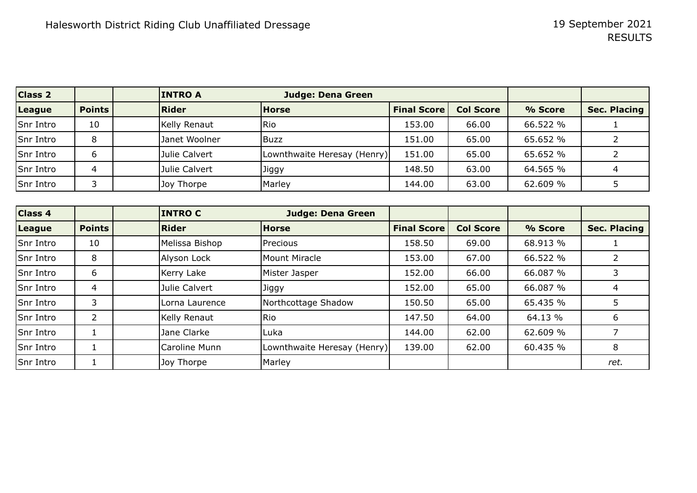| <b>Class 2</b> |               | <b>INTRO A</b> | <b>Judge: Dena Green</b>    |                    |                  |          |                     |
|----------------|---------------|----------------|-----------------------------|--------------------|------------------|----------|---------------------|
| League         | <b>Points</b> | Rider          | <b>Horse</b>                | <b>Final Score</b> | <b>Col Score</b> | % Score  | <b>Sec. Placing</b> |
| Snr Intro      | 10            | Kelly Renaut   | Rio                         | 153.00             | 66.00            | 66.522 % |                     |
| Snr Intro      | 8             | Janet Woolner  | <b>Buzz</b>                 | 151.00             | 65.00            | 65.652 % |                     |
| Snr Intro      | b             | Julie Calvert  | Lownthwaite Heresay (Henry) | 151.00             | 65.00            | 65.652 % |                     |
| Snr Intro      | 4             | Julie Calvert  | Jiggy                       | 148.50             | 63.00            | 64.565 % |                     |
| Snr Intro      |               | Joy Thorpe     | Marley                      | 144.00             | 63.00            | 62.609 % |                     |

| Class 4   |               | <b>INTRO C</b> | <b>Judge: Dena Green</b>    |                    |                  |          |                     |
|-----------|---------------|----------------|-----------------------------|--------------------|------------------|----------|---------------------|
| League    | <b>Points</b> | <b>Rider</b>   | <b>Horse</b>                | <b>Final Score</b> | <b>Col Score</b> | % Score  | <b>Sec. Placing</b> |
| Snr Intro | 10            | Melissa Bishop | Precious                    | 158.50             | 69.00            | 68.913 % |                     |
| Snr Intro | 8             | Alyson Lock    | Mount Miracle               | 153.00             | 67.00            | 66.522 % |                     |
| Snr Intro | 6             | Kerry Lake     | Mister Jasper               | 152.00             | 66.00            | 66.087 % | 3                   |
| Snr Intro | 4             | Julie Calvert  | Jiggy                       | 152.00             | 65.00            | 66.087 % | 4                   |
| Snr Intro | 3             | Lorna Laurence | Northcottage Shadow         | 150.50             | 65.00            | 65.435 % | 5                   |
| Snr Intro | 2             | Kelly Renaut   | <b>Rio</b>                  | 147.50             | 64.00            | 64.13 %  | 6                   |
| Snr Intro |               | Jane Clarke    | Luka                        | 144.00             | 62.00            | 62.609 % |                     |
| Snr Intro |               | Caroline Munn  | Lownthwaite Heresay (Henry) | 139.00             | 62.00            | 60.435 % | 8                   |
| Snr Intro |               | Joy Thorpe     | Marley                      |                    |                  |          | ret.                |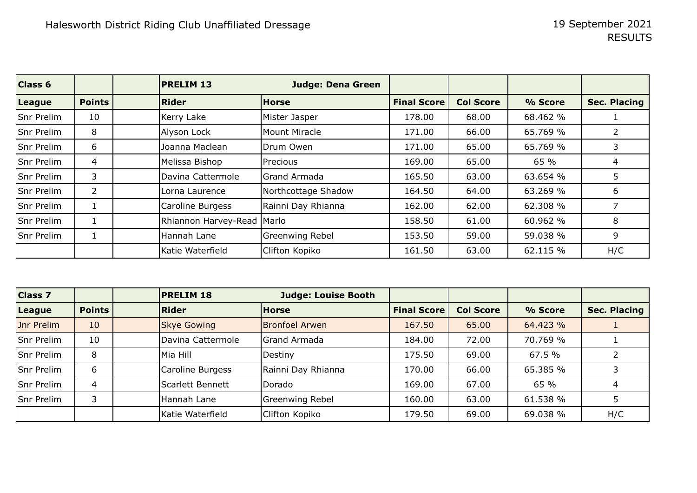| <b>Class 6</b> |                | <b>PRELIM 13</b>             | <b>Judge: Dena Green</b> |                    |                  |          |                     |
|----------------|----------------|------------------------------|--------------------------|--------------------|------------------|----------|---------------------|
| League         | <b>Points</b>  | <b>Rider</b>                 | <b>Horse</b>             | <b>Final Score</b> | <b>Col Score</b> | % Score  | <b>Sec. Placing</b> |
| Snr Prelim     | 10             | Kerry Lake                   | Mister Jasper            | 178.00             | 68.00            | 68.462 % |                     |
| Snr Prelim     | 8              | Alyson Lock                  | Mount Miracle            | 171.00             | 66.00            | 65.769 % |                     |
| Snr Prelim     | 6              | Joanna Maclean               | Drum Owen                | 171.00             | 65.00            | 65.769 % |                     |
| Snr Prelim     | 4              | Melissa Bishop               | Precious                 | 169.00             | 65.00            | 65 %     | 4                   |
| Snr Prelim     | 3              | Davina Cattermole            | lGrand Armada            | 165.50             | 63.00            | 63.654 % | 5.                  |
| Snr Prelim     | $\overline{2}$ | Lorna Laurence               | Northcottage Shadow      | 164.50             | 64.00            | 63.269 % | 6                   |
| Snr Prelim     |                | Caroline Burgess             | Rainni Day Rhianna       | 162.00             | 62.00            | 62.308 % |                     |
| Snr Prelim     |                | Rhiannon Harvey-Read   Marlo |                          | 158.50             | 61.00            | 60.962 % | 8                   |
| Snr Prelim     |                | Hannah Lane                  | Greenwing Rebel          | 153.50             | 59.00            | 59.038 % | 9                   |
|                |                | Katie Waterfield             | Clifton Kopiko           | 161.50             | 63.00            | 62.115 % | H/C                 |

| <b>Class 7</b> |                | <b>PRELIM 18</b>   | <b>Judge: Louise Booth</b> |                    |                  |          |                     |
|----------------|----------------|--------------------|----------------------------|--------------------|------------------|----------|---------------------|
| League         | <b>Points</b>  | <b>Rider</b>       | <b>Horse</b>               | <b>Final Score</b> | <b>Col Score</b> | % Score  | <b>Sec. Placing</b> |
| Jnr Prelim     | 10             | <b>Skye Gowing</b> | <b>Bronfoel Arwen</b>      | 167.50             | 65.00            | 64.423 % |                     |
| Snr Prelim     | 10             | Davina Cattermole  | Grand Armada               | 184.00             | 72.00            | 70.769 % |                     |
| Snr Prelim     | 8              | Mia Hill           | Destiny                    | 175.50             | 69.00            | 67.5 %   |                     |
| Snr Prelim     | 6              | Caroline Burgess   | Rainni Day Rhianna         | 170.00             | 66.00            | 65.385 % |                     |
| Snr Prelim     | $\overline{4}$ | Scarlett Bennett   | Dorado                     | 169.00             | 67.00            | 65 %     |                     |
| Snr Prelim     | 3              | Hannah Lane        | Greenwing Rebel            | 160.00             | 63.00            | 61.538 % |                     |
|                |                | Katie Waterfield   | Clifton Kopiko             | 179.50             | 69.00            | 69.038 % | H/C                 |